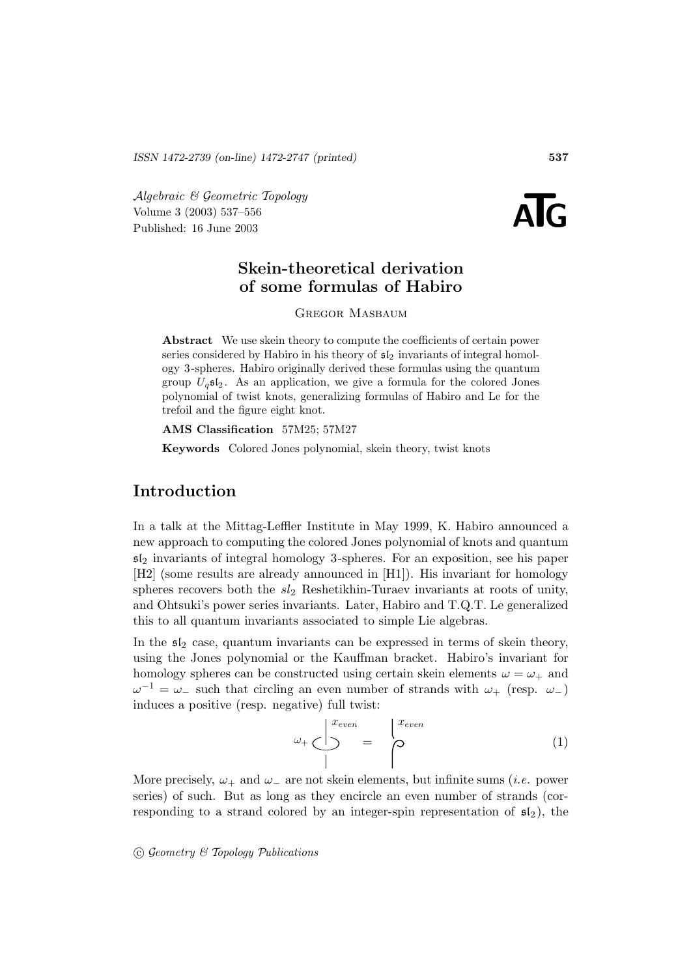Algebraic & Geometric Topology<br>
Volume 3 (2003) 537–556<br>
Published: 16 June 2003 Volume 3 (2003) 537–556



# **Skein-theoretical derivation of some formulas of Habiro**

Gregor Masbaum

**Abstract** We use skein theory to compute the coefficients of certain power series considered by Habiro in his theory of  $\mathfrak{sl}_2$  invariants of integral homology 3 -spheres. Habiro originally derived these formulas using the quantum group  $U_q$ **s** $\mathfrak{l}_2$ . As an application, we give a formula for the colored Jones polynomial of twist knots, generalizing formulas of Habiro and Le for the trefoil and the figure eight knot.

**AMS Classification** 57M25; 57M27

**Keywords** Colored Jones polynomial, skein theory, twist knots

# **Introduction**

In a talk at the Mittag-Leffler Institute in May 1999, K. Habiro announced a new approach to computing the colored Jones polynomial of knots and quantum  $5\mathfrak{ls}_2$  invariants of integral homology 3-spheres. For an exposition, see his paper [H2] (some results are already announced in [H1]). His invariant for homology spheres recovers both the  $sl_2$  Reshetikhin-Turaev invariants at roots of unity, and Ohtsuki's power series invariants. Later, Habiro and T.Q.T. Le generalized this to all quantum invariants associated to simple Lie algebras.

In the  $\mathfrak{sl}_2$  case, quantum invariants can be expressed in terms of skein theory, using the Jones polynomial or the Kauffman bracket. Habiro's invariant for homology spheres can be constructed using certain skein elements  $\omega = \omega_+$  and  $\omega^{-1} = \omega_-$  such that circling an even number of strands with  $\omega_+$  (resp.  $\omega_-$ ) induces a positive (resp. negative) full twist:

$$
\omega_{+} \underbrace{\bigcup}_{1}^{x_{even}} = \begin{cases} x_{even} \\ 0 \end{cases} \tag{1}
$$

More precisely,  $\omega_+$  and  $\omega_-$  are not skein elements, but infinite sums (*i.e.* power series) of such. But as long as they encircle an even number of strands (corresponding to a strand colored by an integer-spin representation of  $\mathfrak{sl}_2$ ), the

 $\odot$  Geometry & Topology Publications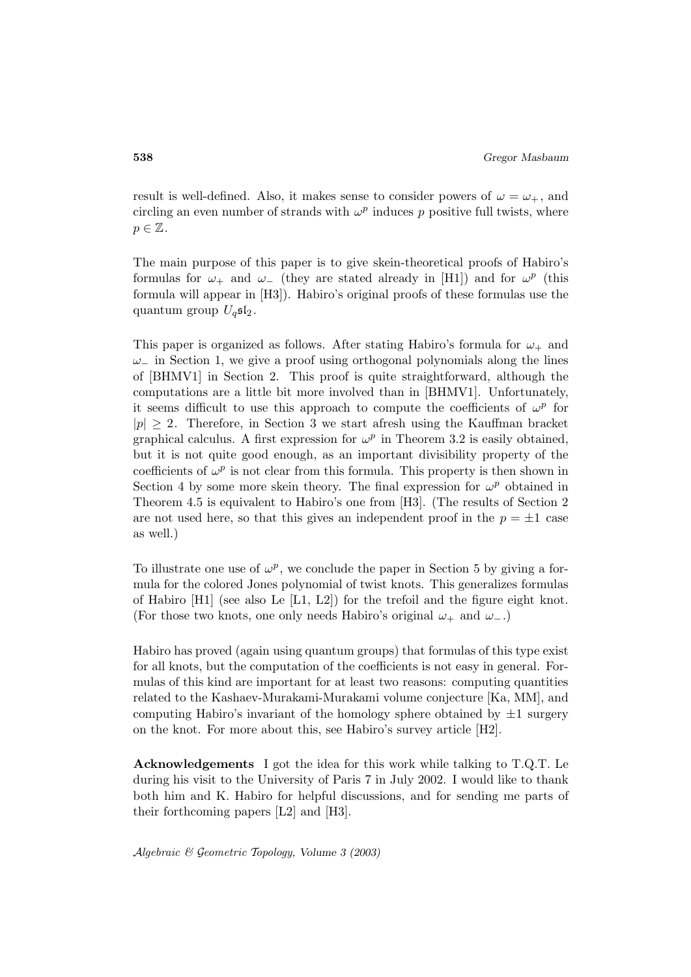result is well-defined. Also, it makes sense to consider powers of  $\omega = \omega_+$ , and circling an even number of strands with  $\omega^p$  induces p positive full twists, where  $p \in \mathbb{Z}$ .

The main purpose of this paper is to give skein-theoretical proofs of Habiro's formulas for  $\omega_+$  and  $\omega_-$  (they are stated already in [H1]) and for  $\omega^p$  (this formula will appear in [H3]). Habiro's original proofs of these formulas use the quantum group  $U_q$ s $\mathfrak{sl}_2$ .

This paper is organized as follows. After stating Habiro's formula for  $\omega_+$  and  $\omega_-\,$  in Section 1, we give a proof using orthogonal polynomials along the lines of [BHMV1] in Section 2. This proof is quite straightforward, although the computations are a little bit more involved than in [BHMV1]. Unfortunately, it seems difficult to use this approach to compute the coefficients of  $\omega^p$  for  $|p| \geq 2$ . Therefore, in Section 3 we start afresh using the Kauffman bracket graphical calculus. A first expression for  $\omega^p$  in Theorem 3.2 is easily obtained, but it is not quite good enough, as an important divisibility property of the coefficients of  $\omega^p$  is not clear from this formula. This property is then shown in Section 4 by some more skein theory. The final expression for  $\omega^p$  obtained in Theorem 4.5 is equivalent to Habiro's one from [H3]. (The results of Section 2 are not used here, so that this gives an independent proof in the  $p = \pm 1$  case as well.)

To illustrate one use of  $\omega^p$ , we conclude the paper in Section 5 by giving a formula for the colored Jones polynomial of twist knots. This generalizes formulas of Habiro [H1] (see also Le [L1, L2]) for the trefoil and the figure eight knot. (For those two knots, one only needs Habiro's original  $\omega_+$  and  $\omega_-$ .)

Habiro has proved (again using quantum groups) that formulas of this type exist for all knots, but the computation of the coefficients is not easy in general. Formulas of this kind are important for at least two reasons: computing quantities related to the Kashaev-Murakami-Murakami volume conjecture [Ka, MM], and computing Habiro's invariant of the homology sphere obtained by  $\pm 1$  surgery on the knot. For more about this, see Habiro's survey article [H2].

**Acknowledgements** I got the idea for this work while talking to T.Q.T. Le during his visit to the University of Paris 7 in July 2002. I would like to thank both him and K. Habiro for helpful discussions, and for sending me parts of their forthcoming papers [L2] and [H3].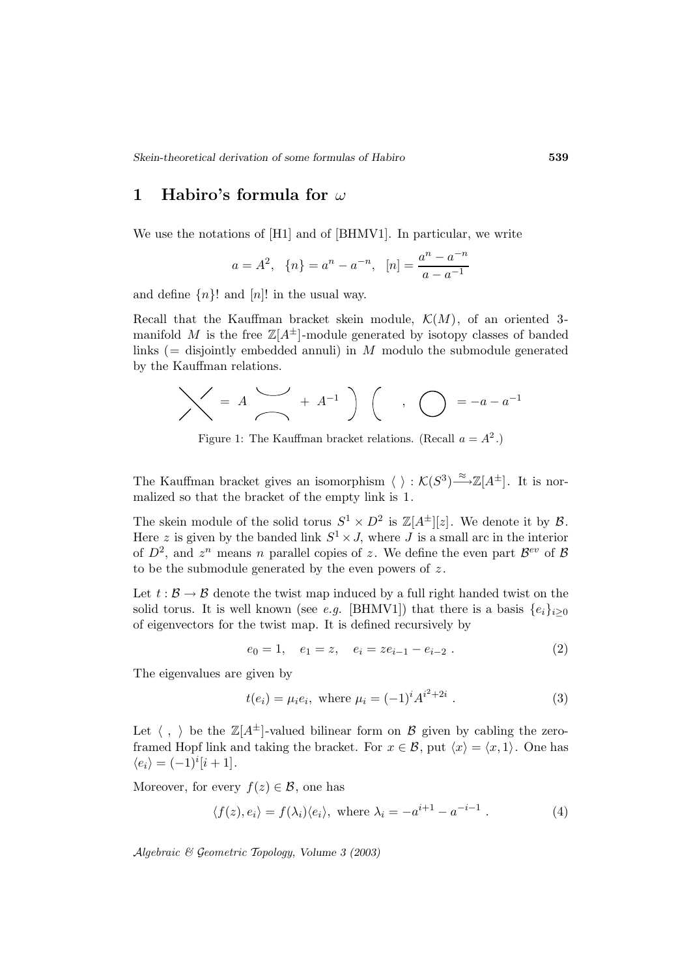## **1 Habiro's formula for** ω

We use the notations of [H1] and of [BHMV1]. In particular, we write

$$
a = A^2
$$
,  $\{n\} = a^n - a^{-n}$ ,  $[n] = \frac{a^n - a^{-n}}{a - a^{-1}}$ 

and define  $\{n\}!$  and  $[n]!$  in the usual way.

Recall that the Kauffman bracket skein module,  $\mathcal{K}(M)$ , of an oriented 3manifold M is the free  $\mathbb{Z}[A^{\pm}]$ -module generated by isotopy classes of banded links ( $=$  disjointly embedded annuli) in M modulo the submodule generated by the Kauffman relations.

$$
\bigvee = A \bigvee_{a} A^{-1} \bigwedge_{a} A^{-1} \bigwedge_{a} A^{-1} \bigwedge_{a} A^{-1} \bigwedge_{a} A^{-1} \bigwedge_{a} A^{-1} \bigwedge_{a} A^{-1} \bigwedge_{a} A^{-1} \bigwedge_{a} A^{-1} \bigwedge_{a} A^{-1} \bigwedge_{a} A^{-1} \bigwedge_{a} A^{-1} \bigwedge_{a} A^{-1} \bigwedge_{a} A^{-1} \bigwedge_{a} A^{-1} \bigwedge_{a} A^{-1} \bigwedge_{a} A^{-1} \bigwedge_{a} A^{-1} \bigwedge_{a} A^{-1} \bigwedge_{a} A^{-1} \bigwedge_{a} A^{-1} \bigwedge_{a} A^{-1} \bigwedge_{a} A^{-1} \bigwedge_{a} A^{-1} \bigwedge_{a} A^{-1} \bigwedge_{a} A^{-1} \bigwedge_{a} A^{-1} \bigwedge_{a} A^{-1} \bigwedge_{a} A^{-1} \bigwedge_{a} A^{-1} \bigwedge_{a} A^{-1} \bigwedge_{a} A^{-1} \bigwedge_{a} A^{-1} \bigwedge_{a} A^{-1} \bigwedge_{a} A^{-1} \bigwedge_{a} A^{-1} \bigwedge_{a} A^{-1} \bigwedge_{a} A^{-1} \bigwedge_{a} A^{-1} \bigwedge_{a} A^{-1} \bigwedge_{a} A^{-1} \bigwedge_{a} A^{-1} \bigwedge_{a} A^{-1} \bigwedge_{a} A^{-1} \bigwedge_{a} A^{-1} \bigwedge_{a} A^{-1} \bigwedge_{a} A^{-1} \bigwedge_{a} A^{-1} \bigwedge_{a} A^{-1} \bigwedge_{a} A^{-1} \bigwedge_{a} A^{-1} \bigwedge_{a} A^{-1} \bigwedge_{a} A^{-1} \bigwedge_{a} A^{-1} \bigwedge_{a} A^{-1} \bigwedge_{a} A^{-1} \bigwedge_{a} A^{-1} \bigwedge_{a} A^{-1} \bigwedge_{a} A^{-1} \bigwedge_{a} A^{-1} \bigwedge_{a} A^{-1} \bigwedge_{a} A^{-1} \bigwedge_{a} A^{-1} \bigwedge_{a} A^{-1} \bigwedge_{a} A^{-1} \bigwedge_{a} A^{-1} \bigwedge_{a} A^{-1} \bigwedge_{a} A^{-1} \bigwedge_{a
$$

Figure 1: The Kauffman bracket relations. (Recall  $a = A^2$ .)

The Kauffman bracket gives an isomorphism  $\langle \ \rangle : \mathcal{K}(S^3) \stackrel{\approx}{\longrightarrow} \mathbb{Z}[A^{\pm}]$ . It is normalized so that the bracket of the empty link is 1.

The skein module of the solid torus  $S^1 \times D^2$  is  $\mathbb{Z}[A^{\pm}][z]$ . We denote it by  $\mathcal{B}$ . Here z is given by the banded link  $S^1 \times J$ , where  $J$  is a small arc in the interior of  $D^2$ , and  $z^n$  means n parallel copies of z. We define the even part  $\mathcal{B}^{ev}$  of  $\mathcal{B}$ to be the submodule generated by the even powers of  $z$ .

Let  $t : \mathcal{B} \to \mathcal{B}$  denote the twist map induced by a full right handed twist on the solid torus. It is well known (see e.g. [BHMV1]) that there is a basis  $\{e_i\}_{i\geq 0}$ of eigenvectors for the twist map. It is defined recursively by

$$
e_0 = 1, \quad e_1 = z, \quad e_i = ze_{i-1} - e_{i-2} . \tag{2}
$$

The eigenvalues are given by

$$
t(e_i) = \mu_i e_i, \text{ where } \mu_i = (-1)^i A^{i^2 + 2i} . \tag{3}
$$

Let  $\langle , \rangle$  be the  $\mathbb{Z}[A^{\pm}]$ -valued bilinear form on  $\mathcal{B}$  given by cabling the zeroframed Hopf link and taking the bracket. For  $x \in \mathcal{B}$ , put  $\langle x \rangle = \langle x, 1 \rangle$ . One has  $\langle e_i \rangle = (-1)^i [i+1].$ 

Moreover, for every  $f(z) \in \mathcal{B}$ , one has

$$
\langle f(z), e_i \rangle = f(\lambda_i) \langle e_i \rangle, \text{ where } \lambda_i = -a^{i+1} - a^{-i-1} . \tag{4}
$$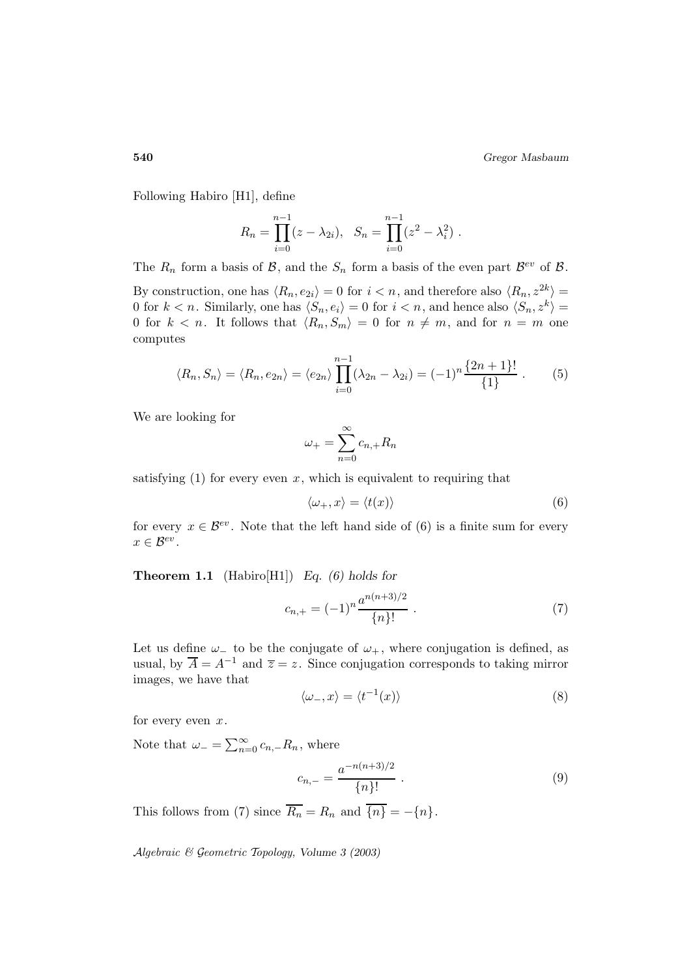Following Habiro [H1], define

$$
R_n = \prod_{i=0}^{n-1} (z - \lambda_{2i}), \quad S_n = \prod_{i=0}^{n-1} (z^2 - \lambda_i^2) .
$$

The  $R_n$  form a basis of  $\mathcal{B}$ , and the  $S_n$  form a basis of the even part  $\mathcal{B}^{ev}$  of  $\mathcal{B}$ .

By construction, one has  $\langle R_n, e_{2i} \rangle = 0$  for  $i < n$ , and therefore also  $\langle R_n, z^{2k} \rangle =$ 0 for  $k < n$ . Similarly, one has  $\langle S_n, e_i \rangle = 0$  for  $i < n$ , and hence also  $\langle S_n, z^k \rangle =$ 0 for  $k < n$ . It follows that  $\langle R_n, S_m \rangle = 0$  for  $n \neq m$ , and for  $n = m$  one computes

$$
\langle R_n, S_n \rangle = \langle R_n, e_{2n} \rangle = \langle e_{2n} \rangle \prod_{i=0}^{n-1} (\lambda_{2n} - \lambda_{2i}) = (-1)^n \frac{\{2n+1\}!}{\{1\}}.
$$
 (5)

We are looking for

$$
\omega_+ = \sum_{n=0}^{\infty} c_{n,+} R_n
$$

satisfying  $(1)$  for every even x, which is equivalent to requiring that

$$
\langle \omega_+, x \rangle = \langle t(x) \rangle \tag{6}
$$

for every  $x \in \mathcal{B}^{ev}$ . Note that the left hand side of (6) is a finite sum for every  $x \in \mathcal{B}^{ev}$ .

**Theorem 1.1** (Habiro[H1]) *Eq. (6) holds for*

$$
c_{n,+} = (-1)^n \frac{a^{n(n+3)/2}}{\{n\}!} \tag{7}
$$

Let us define  $\omega_+$  to be the conjugate of  $\omega_+$ , where conjugation is defined, as usual, by  $\overline{A} = A^{-1}$  and  $\overline{z} = z$ . Since conjugation corresponds to taking mirror images, we have that

$$
\langle \omega_-, x \rangle = \langle t^{-1}(x) \rangle \tag{8}
$$

for every even  $x$ .

Note that  $\omega_- = \sum_{n=0}^{\infty} c_{n,-} R_n$ , where

$$
c_{n,-} = \frac{a^{-n(n+3)/2}}{\{n\}!} \ . \tag{9}
$$

This follows from (7) since  $\overline{R_n} = R_n$  and  $\overline{\{n\}} = -\{n\}.$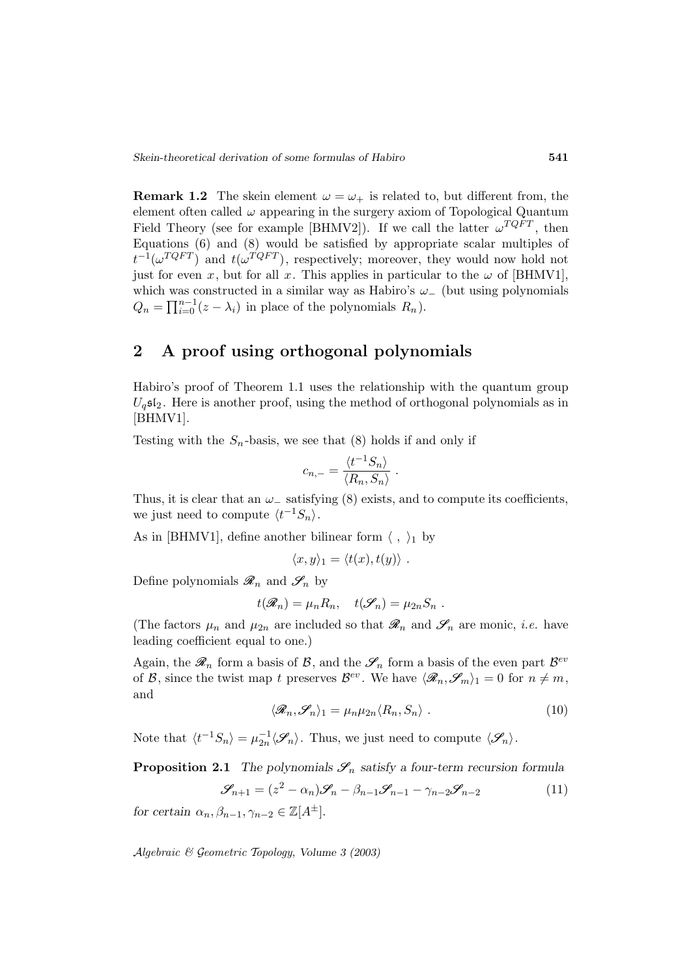**Remark 1.2** The skein element  $\omega = \omega_+$  is related to, but different from, the element often called  $\omega$  appearing in the surgery axiom of Topological Quantum Field Theory (see for example [BHMV2]). If we call the latter  $\omega^{TQFT}$ , then Equations (6) and (8) would be satisfied by appropriate scalar multiples of  $t^{-1}(\omega^{TQFT})$  and  $t(\omega^{TQFT})$ , respectively; moreover, they would now hold not just for even x, but for all x. This applies in particular to the  $\omega$  of [BHMV1], which was constructed in a similar way as Habiro's  $\omega_-\,$  (but using polynomials  $Q_n = \prod_{i=0}^{n-1} (z - \lambda_i)$  in place of the polynomials  $R_n$ ).

# **2 A proof using orthogonal polynomials**

Habiro's proof of Theorem 1.1 uses the relationship with the quantum group  $U<sub>q</sub>$ s $I<sub>2</sub>$ . Here is another proof, using the method of orthogonal polynomials as in [BHMV1].

Testing with the  $S_n$ -basis, we see that (8) holds if and only if

$$
c_{n,-} = \frac{\langle t^{-1}S_n \rangle}{\langle R_n, S_n \rangle} \ .
$$

Thus, it is clear that an  $\omega_-\$  satisfying (8) exists, and to compute its coefficients, we just need to compute  $\langle t^{-1}S_n\rangle$ .

As in [BHMV1], define another bilinear form  $\langle , \rangle_1$  by

$$
\langle x, y \rangle_1 = \langle t(x), t(y) \rangle.
$$

Define polynomials  $\mathcal{R}_n$  and  $\mathcal{S}_n$  by

$$
t(\mathscr{R}_n)=\mu_n R_n, \quad t(\mathscr{S}_n)=\mu_{2n} S_n.
$$

(The factors  $\mu_n$  and  $\mu_{2n}$  are included so that  $\mathscr{R}_n$  and  $\mathscr{S}_n$  are monic, *i.e.* have leading coefficient equal to one.)

Again, the  $\mathscr{R}_n$  form a basis of  $\mathcal{B}$ , and the  $\mathscr{S}_n$  form a basis of the even part  $\mathcal{B}^{ev}$ of B, since the twist map t preserves  $\mathcal{B}^{ev}$ . We have  $\langle \mathcal{R}_n, \mathcal{S}_m \rangle_1 = 0$  for  $n \neq m$ , and

$$
\langle \mathcal{R}_n, \mathcal{S}_n \rangle_1 = \mu_n \mu_{2n} \langle R_n, S_n \rangle \tag{10}
$$

Note that  $\langle t^{-1}S_n \rangle = \mu_{2n}^{-1} \langle \mathcal{S}_n \rangle$ . Thus, we just need to compute  $\langle \mathcal{S}_n \rangle$ .

**Proposition 2.1** *The polynomials*  $\mathcal{S}_n$  *satisfy a four-term recursion formula* 

$$
\mathcal{S}_{n+1} = (z^2 - \alpha_n)\mathcal{S}_n - \beta_{n-1}\mathcal{S}_{n-1} - \gamma_{n-2}\mathcal{S}_{n-2}
$$
(11)

*for certain*  $\alpha_n, \beta_{n-1}, \gamma_{n-2} \in \mathbb{Z}[A^{\pm}].$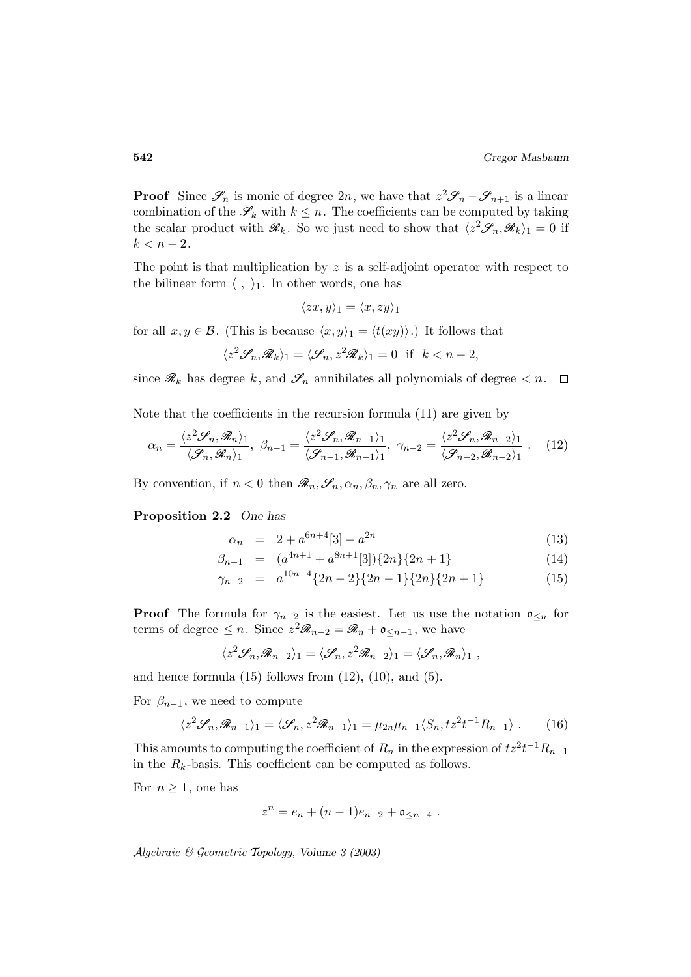**Proof** Since  $\mathscr{S}_n$  is monic of degree 2n, we have that  $z^2 \mathscr{S}_n - \mathscr{S}_{n+1}$  is a linear combination of the  $\mathscr{S}_k$  with  $k \leq n$ . The coefficients can be computed by taking the scalar product with  $\mathscr{R}_k$ . So we just need to show that  $\langle z^2\mathscr{S}_n, \mathscr{R}_k\rangle_1 = 0$  if  $k < n - 2$ .

The point is that multiplication by  $z$  is a self-adjoint operator with respect to the bilinear form  $\langle , \rangle_1$ . In other words, one has

$$
\langle zx, y \rangle_1 = \langle x, zy \rangle_1
$$

for all  $x, y \in \mathcal{B}$ . (This is because  $\langle x, y \rangle_1 = \langle t(xy) \rangle$ .) It follows that

$$
\langle z^2 \mathcal{S}_n, \mathcal{R}_k \rangle_1 = \langle \mathcal{S}_n, z^2 \mathcal{R}_k \rangle_1 = 0 \text{ if } k < n-2,
$$

since  $\mathscr{R}_k$  has degree k, and  $\mathscr{S}_n$  annihilates all polynomials of degree  $\langle n, \square \rangle$ 

Note that the coefficients in the recursion formula (11) are given by

$$
\alpha_n = \frac{\langle z^2 \mathcal{S}_n, \mathcal{R}_n \rangle_1}{\langle \mathcal{S}_n, \mathcal{R}_n \rangle_1}, \ \beta_{n-1} = \frac{\langle z^2 \mathcal{S}_n, \mathcal{R}_{n-1} \rangle_1}{\langle \mathcal{S}_{n-1}, \mathcal{R}_{n-1} \rangle_1}, \ \gamma_{n-2} = \frac{\langle z^2 \mathcal{S}_n, \mathcal{R}_{n-2} \rangle_1}{\langle \mathcal{S}_{n-2}, \mathcal{R}_{n-2} \rangle_1} \ . \tag{12}
$$

By convention, if  $n < 0$  then  $\mathscr{R}_n, \mathscr{S}_n, \alpha_n, \beta_n, \gamma_n$  are all zero.

#### **Proposition 2.2** *One has*

$$
\alpha_n = 2 + a^{6n+4}[3] - a^{2n} \tag{13}
$$

$$
\beta_{n-1} = (a^{4n+1} + a^{8n+1}[3])\{2n\}\{2n+1\} \tag{14}
$$

$$
\gamma_{n-2} = a^{10n-4} \{2n-2\} \{2n-1\} \{2n\} \{2n+1\}
$$
 (15)

**Proof** The formula for  $\gamma_{n-2}$  is the easiest. Let us use the notation  $\mathfrak{o}_{\leq n}$  for terms of degree  $\leq n$ . Since  $z^2\mathscr{R}_{n-2} = \mathscr{R}_n + \mathfrak{o}_{\leq n-1}$ , we have

$$
\langle z^2 \mathcal{S}_n, \mathcal{R}_{n-2} \rangle_1 = \langle \mathcal{S}_n, z^2 \mathcal{R}_{n-2} \rangle_1 = \langle \mathcal{S}_n, \mathcal{R}_n \rangle_1 ,
$$

and hence formula  $(15)$  follows from  $(12)$ ,  $(10)$ , and  $(5)$ .

For  $\beta_{n-1}$ , we need to compute

$$
\langle z^2 \mathcal{S}_n, \mathcal{R}_{n-1} \rangle_1 = \langle \mathcal{S}_n, z^2 \mathcal{R}_{n-1} \rangle_1 = \mu_{2n} \mu_{n-1} \langle S_n, tz^2 t^{-1} R_{n-1} \rangle . \tag{16}
$$

This amounts to computing the coefficient of  $R_n$  in the expression of  $tz^2t^{-1}R_{n-1}$ in the  $R_k$ -basis. This coefficient can be computed as follows.

For  $n \geq 1$ , one has

$$
z^n = e_n + (n-1)e_{n-2} + \mathfrak{o}_{\leq n-4} .
$$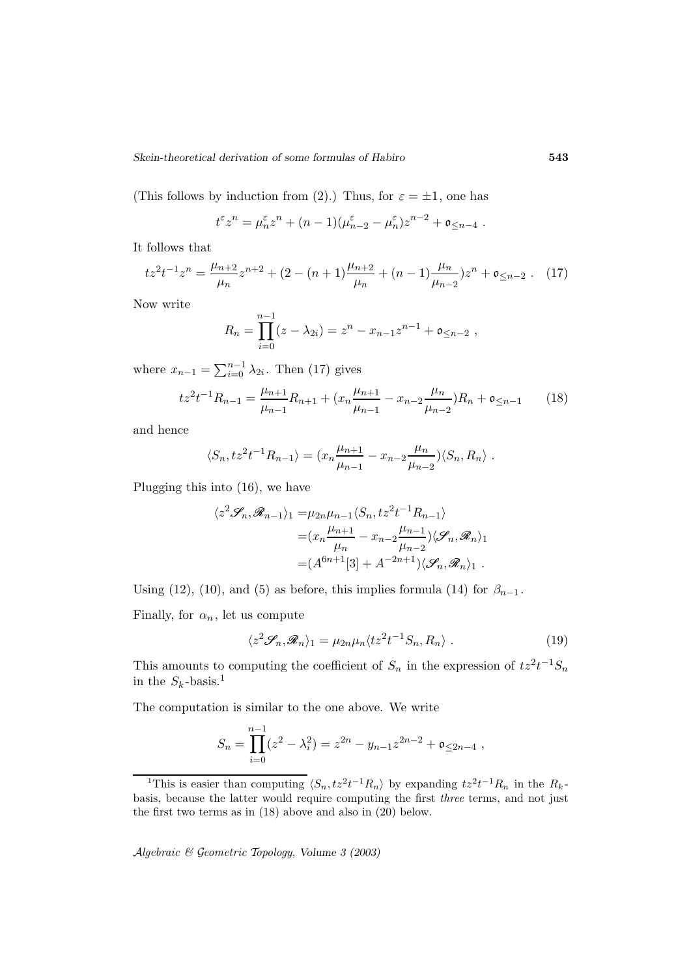(This follows by induction from (2).) Thus, for  $\varepsilon = \pm 1$ , one has

$$
t^{\varepsilon} z^n = \mu_n^{\varepsilon} z^n + (n-1)(\mu_{n-2}^{\varepsilon} - \mu_n^{\varepsilon}) z^{n-2} + \mathfrak{o}_{\leq n-4}.
$$

It follows that

$$
tz^{2}t^{-1}z^{n} = \frac{\mu_{n+2}}{\mu_{n}}z^{n+2} + (2 - (n+1)\frac{\mu_{n+2}}{\mu_{n}} + (n-1)\frac{\mu_{n}}{\mu_{n-2}})z^{n} + \mathfrak{o}_{\leq n-2} . \tag{17}
$$

Now write

$$
R_n = \prod_{i=0}^{n-1} (z - \lambda_{2i}) = z^n - x_{n-1} z^{n-1} + \mathfrak{o}_{\leq n-2} ,
$$

where  $x_{n-1} = \sum_{i=0}^{n-1} \lambda_{2i}$ . Then (17) gives

$$
tz^{2}t^{-1}R_{n-1} = \frac{\mu_{n+1}}{\mu_{n-1}}R_{n+1} + (x_{n}\frac{\mu_{n+1}}{\mu_{n-1}} - x_{n-2}\frac{\mu_{n}}{\mu_{n-2}})R_{n} + \mathfrak{o}_{\leq n-1} \qquad (18)
$$

and hence

$$
\langle S_n, tz^2t^{-1}R_{n-1}\rangle = (x_n\frac{\mu_{n+1}}{\mu_{n-1}} - x_{n-2}\frac{\mu_n}{\mu_{n-2}})\langle S_n, R_n\rangle.
$$

Plugging this into (16), we have

$$
\langle z^2 \mathcal{S}_n, \mathcal{R}_{n-1} \rangle_1 = \mu_{2n} \mu_{n-1} \langle S_n, tz^2 t^{-1} R_{n-1} \rangle
$$
  
=  $(x_n \frac{\mu_{n+1}}{\mu_n} - x_{n-2} \frac{\mu_{n-1}}{\mu_{n-2}}) \langle \mathcal{S}_n, \mathcal{R}_n \rangle_1$   
=  $(A^{6n+1}[3] + A^{-2n+1}) \langle \mathcal{S}_n, \mathcal{R}_n \rangle_1$ .

Using (12), (10), and (5) as before, this implies formula (14) for  $\beta_{n-1}$ .

Finally, for  $\alpha_n$ , let us compute

$$
\langle z^2 \mathcal{S}_n, \mathcal{R}_n \rangle_1 = \mu_{2n} \mu_n \langle t z^2 t^{-1} S_n, R_n \rangle \,. \tag{19}
$$

This amounts to computing the coefficient of  $S_n$  in the expression of  $tz^2t^{-1}S_n$ in the  $S_k$ -basis.<sup>1</sup>

The computation is similar to the one above. We write

$$
S_n = \prod_{i=0}^{n-1} (z^2 - \lambda_i^2) = z^{2n} - y_{n-1}z^{2n-2} + \mathfrak{o}_{\leq 2n-4} ,
$$

<sup>&</sup>lt;sup>1</sup>This is easier than computing  $\langle S_n, tz^2t^{-1}R_n \rangle$  by expanding  $tz^2t^{-1}R_n$  in the  $R_k$ basis, because the latter would require computing the first three terms, and not just the first two terms as in (18) above and also in (20) below.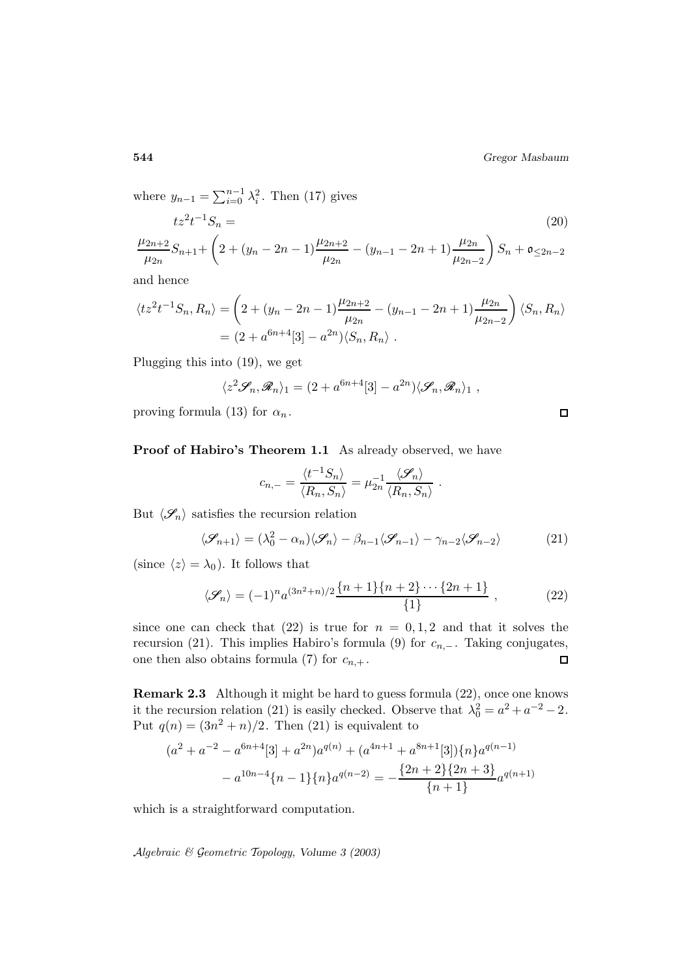**544** *Gregor Masbaum*

where  $y_{n-1} = \sum_{i=0}^{n-1} \lambda_i^2$ . Then (17) gives  $tz^2t^{-1}S_n =$  $-1S_n = (20)$  $\mu_{2n+2}$  $\frac{\mu_{2n+2}}{\mu_{2n}}S_{n+1}+\left(2+(y_n-2n-1)\frac{\mu_{2n+2}}{\mu_{2n}}-(y_{n-1}-2n+1)\frac{\mu_{2n}}{\mu_{2n-2}}\right)$  $\Big) S_n + \mathfrak{o}_{\leq 2n-2}$ 

and hence

$$
\langle tz^2t^{-1}S_n, R_n \rangle = \left(2 + (y_n - 2n - 1)\frac{\mu_{2n+2}}{\mu_{2n}} - (y_{n-1} - 2n + 1)\frac{\mu_{2n}}{\mu_{2n-2}}\right) \langle S_n, R_n \rangle
$$
  
=  $(2 + a^{6n+4}[3] - a^{2n}) \langle S_n, R_n \rangle$ .

Plugging this into (19), we get

$$
\langle z^2 \mathcal{S}_n, \mathcal{R}_n \rangle_1 = (2 + a^{6n+4}[3] - a^{2n}) \langle \mathcal{S}_n, \mathcal{R}_n \rangle_1 ,
$$

proving formula (13) for  $\alpha_n$ .

**Proof of Habiro's Theorem 1.1** As already observed, we have

$$
c_{n,-} = \frac{\langle t^{-1}S_n \rangle}{\langle R_n, S_n \rangle} = \mu_{2n}^{-1} \frac{\langle \mathcal{S}_n \rangle}{\langle R_n, S_n \rangle}.
$$

But  $\langle \mathcal{S}_n \rangle$  satisfies the recursion relation

$$
\langle \mathcal{S}_{n+1} \rangle = (\lambda_0^2 - \alpha_n) \langle \mathcal{S}_n \rangle - \beta_{n-1} \langle \mathcal{S}_{n-1} \rangle - \gamma_{n-2} \langle \mathcal{S}_{n-2} \rangle \tag{21}
$$

(since  $\langle z \rangle = \lambda_0$ ). It follows that

$$
\langle \mathcal{S}_n \rangle = (-1)^n a^{(3n^2+n)/2} \frac{\{n+1\}\{n+2\} \cdots \{2n+1\}}{\{1\}}, \qquad (22)
$$

since one can check that (22) is true for  $n = 0, 1, 2$  and that it solves the recursion (21). This implies Habiro's formula (9) for  $c_{n,-}$ . Taking conjugates, one then also obtains formula (7) for  $c_{n,+}$ . one then also obtains formula (7) for  $c_{n,+}$ .

**Remark 2.3** Although it might be hard to guess formula (22), once one knows it the recursion relation (21) is easily checked. Observe that  $\lambda_0^2 = a^2 + a^{-2} - 2$ . Put  $q(n) = (3n^2 + n)/2$ . Then (21) is equivalent to

$$
(a^{2} + a^{-2} - a^{6n+4}[3] + a^{2n})a^{q(n)} + (a^{4n+1} + a^{8n+1}[3])\{n\}a^{q(n-1)}
$$

$$
- a^{10n-4}\{n-1\}\{n\}a^{q(n-2)} = -\frac{\{2n+2\}\{2n+3\}}{\{n+1\}}a^{q(n+1)}
$$

which is a straightforward computation.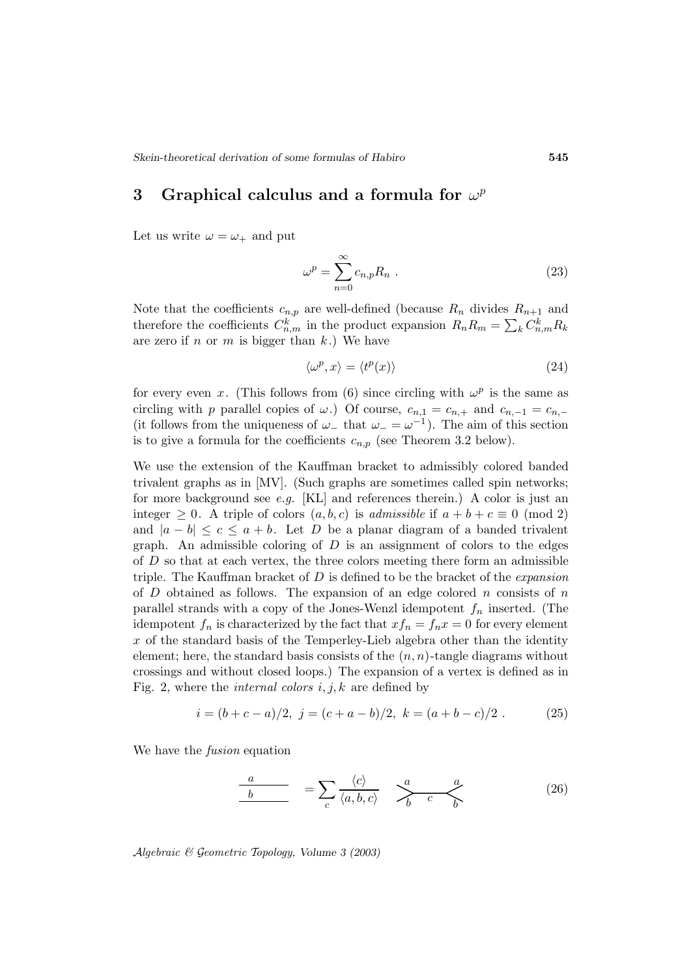# **3** Graphical calculus and a formula for  $\omega^p$

Let us write  $\omega = \omega_+$  and put

$$
\omega^p = \sum_{n=0}^{\infty} c_{n,p} R_n \tag{23}
$$

Note that the coefficients  $c_{n,p}$  are well-defined (because  $R_n$  divides  $R_{n+1}$  and therefore the coefficients  $C_{n,m}^k$  in the product expansion  $R_n R_m = \sum_k C_{n,m}^k R_k$ are zero if n or m is bigger than  $k$ .) We have

$$
\langle \omega^p, x \rangle = \langle t^p(x) \rangle \tag{24}
$$

for every even x. (This follows from (6) since circling with  $\omega^p$  is the same as circling with p parallel copies of  $\omega$ .) Of course,  $c_{n,1} = c_{n,+}$  and  $c_{n,-1} = c_{n,-}$ (it follows from the uniqueness of  $\omega_{-}$  that  $\omega_{-} = \omega^{-1}$ ). The aim of this section is to give a formula for the coefficients  $c_{n,p}$  (see Theorem 3.2 below).

We use the extension of the Kauffman bracket to admissibly colored banded trivalent graphs as in [MV]. (Such graphs are sometimes called spin networks; for more background see e.g.  $[KL]$  and references therein.) A color is just an integer  $\geq 0$ . A triple of colors  $(a, b, c)$  is admissible if  $a + b + c \equiv 0 \pmod{2}$ and  $|a - b| \leq c \leq a + b$ . Let D be a planar diagram of a banded trivalent graph. An admissible coloring of  $D$  is an assignment of colors to the edges of D so that at each vertex, the three colors meeting there form an admissible triple. The Kauffman bracket of  $D$  is defined to be the bracket of the *expansion* of  $D$  obtained as follows. The expansion of an edge colored  $n$  consists of  $n$ parallel strands with a copy of the Jones-Wenzl idempotent  $f_n$  inserted. (The idempotent  $f_n$  is characterized by the fact that  $xf_n = f_n x = 0$  for every element  $x$  of the standard basis of the Temperley-Lieb algebra other than the identity element; here, the standard basis consists of the  $(n, n)$ -tangle diagrams without crossings and without closed loops.) The expansion of a vertex is defined as in Fig. 2, where the *internal colors*  $i, j, k$  are defined by

$$
i = (b + c - a)/2, \ j = (c + a - b)/2, \ k = (a + b - c)/2. \tag{25}
$$

We have the *fusion* equation

$$
\frac{a}{b} = \sum_{c} \frac{\langle c \rangle}{\langle a, b, c \rangle} \quad \sum_{b}^{a} \frac{a}{c} \quad (26)
$$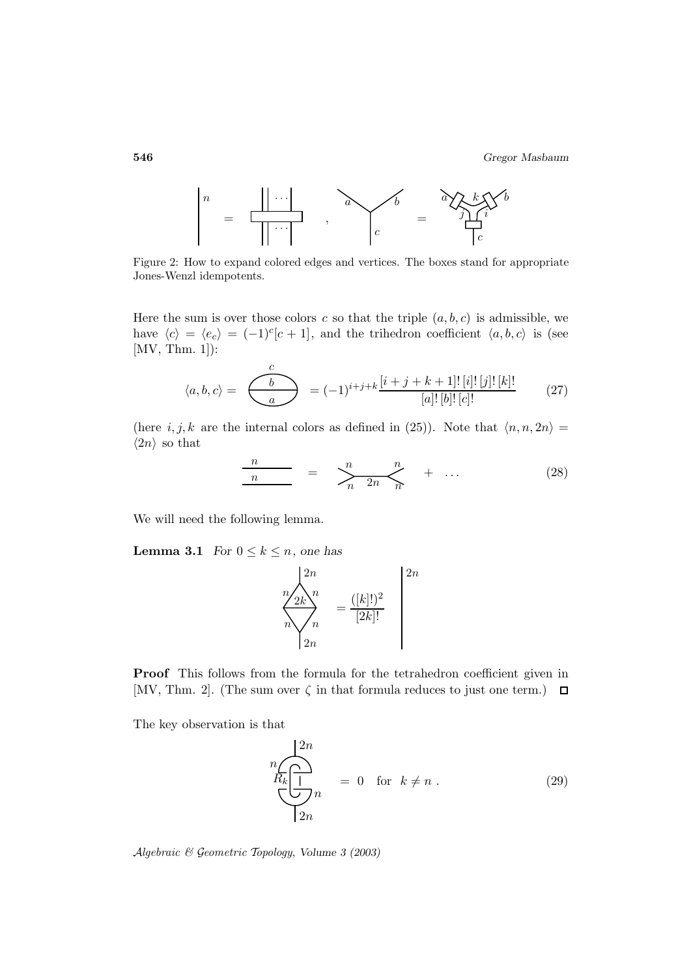

Figure 2: How to expand colored edges and vertices. The boxes stand for appropriate Jones-Wenzl idempotents.

Here the sum is over those colors c so that the triple  $(a, b, c)$  is admissible, we have  $\langle c \rangle = \langle e_c \rangle = (-1)^c [c+1]$ , and the trihedron coefficient  $\langle a, b, c \rangle$  is (see [MV, Thm. 1]):

$$
\langle a, b, c \rangle = \underbrace{\begin{pmatrix} c \\ b \end{pmatrix}}_{a} = (-1)^{i+j+k} \frac{[i+j+k+1]! [i]! [j]! [k]!}{[a]! [b]! [c]!} \tag{27}
$$

(here  $i, j, k$  are the internal colors as defined in (25)). Note that  $\langle n, n, 2n \rangle =$  $\langle 2n \rangle$  so that

$$
\frac{n}{n} = \sum_{n}^{n} \frac{n}{2n} + \dots \tag{28}
$$

We will need the following lemma.

**Lemma 3.1** *For*  $0 \leq k \leq n$ *, one has* 

$$
\sum_{n=2k}^{n} \frac{2n}{n} = \frac{([k]!)^2}{[2k]!}
$$
\n
$$
\sum_{n=2n}^{n} \frac{2n}{[2k]!}
$$

**Proof** This follows from the formula for the tetrahedron coefficient given in [MV, Thm. 2]. (The sum over  $\zeta$  in that formula reduces to just one term.)  $\Box$ 

The key observation is that

$$
n\n\begin{cases}\n2n \\
\hline\nR_k\n\end{cases} = 0 \quad \text{for } k \neq n .
$$
\n(29)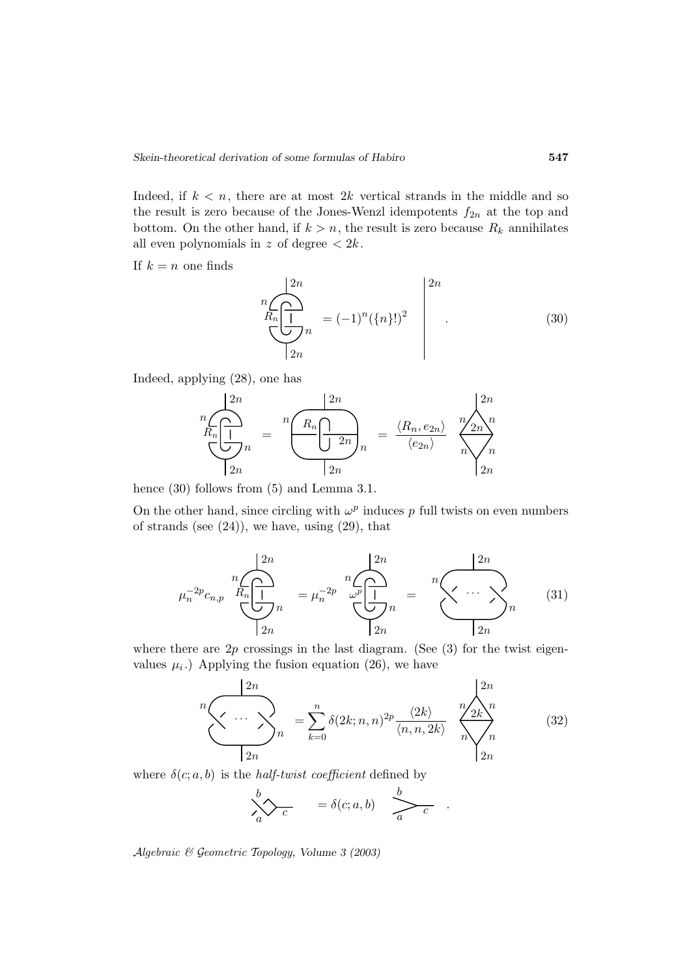Indeed, if  $k < n$ , there are at most 2k vertical strands in the middle and so the result is zero because of the Jones-Wenzl idempotents  $f_{2n}$  at the top and bottom. On the other hand, if  $k>n$ , the result is zero because  $R_k$  annihilates all even polynomials in  $z$  of degree  $\langle 2k$ .

If  $k = n$  one finds

$$
n\frac{1}{R_n \frac{1}{\left(\frac{1}{2n}\right)}}_{n} = (-1)^n (\{n\})^2
$$
\n(30)

Indeed, applying (28), one has

$$
\frac{{}^{n}C_{R_{n}}\left(\prod_{2n}^{n} n\right)}{2n} = \frac{{}^{n}\left(\frac{R_{n}}{\prod_{2n}^{n} n}\right)}{2n} = \frac{\langle R_{n}, e_{2n} \rangle}{\langle e_{2n} \rangle} \sqrt{\frac{{}^{2n}}{n}} \sqrt{\sum_{2n}^{n}}
$$

hence  $(30)$  follows from  $(5)$  and Lemma 3.1.

On the other hand, since circling with  $\omega^p$  induces p full twists on even numbers of strands (see  $(24)$ ), we have, using  $(29)$ , that

$$
\mu_n^{-2p} c_{n,p} \bigoplus_{n=1}^n \frac{\left(\sum_{i=1}^{2n} n_i\right)^{2n}}{\left(\sum_{i=1}^n n_i\right)^{2n}} = \mu_n^{-2p} \bigoplus_{n=1}^n \frac{\left(\sum_{i=1}^{2n} n_i\right)^{2n}}{\left(\sum_{i=1}^n n_i\right)^{2n}} \tag{31}
$$

where there are  $2p$  crossings in the last diagram. (See  $(3)$  for the twist eigenvalues  $\mu_i$ .) Applying the fusion equation (26), we have

$$
n\nn\nn\nn\nn\nk=0\nk=0\n0(2k; n, n)2p\nn\nn\nn\nn\nn\nn\nn\nn\nn\nn\nn\nn\nn\nn\n(32)
$$

where  $\delta(c; a, b)$  is the *half-twist coefficient* defined by

$$
\sum_{a}^{b} \sum_{c} = \delta(c; a, b) \sum_{a}^{b}.
$$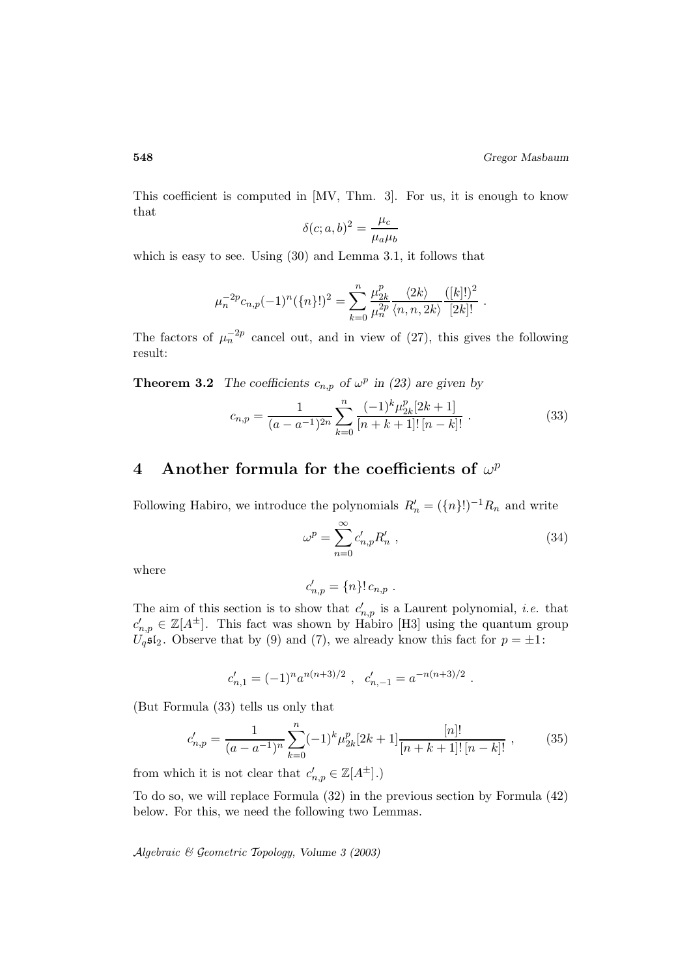This coefficient is computed in [MV, Thm. 3]. For us, it is enough to know that

$$
\delta(c;a,b)^2 = \frac{\mu_c}{\mu_a \mu_b}
$$

which is easy to see. Using (30) and Lemma 3.1, it follows that

$$
\mu_n^{-2p} c_{n,p}(-1)^n (\{n\}!)^2 = \sum_{k=0}^n \frac{\mu_{2k}^p}{\mu_n^{2p}} \frac{\langle 2k \rangle}{\langle n, n, 2k \rangle} \frac{([k]!)^2}{[2k]!} .
$$

The factors of  $\mu_n^{-2p}$  cancel out, and in view of (27), this gives the following result:

**Theorem 3.2** *The coefficients*  $c_{n,p}$  *of*  $\omega^p$  *in (23)* are given by

$$
c_{n,p} = \frac{1}{(a-a^{-1})^{2n}} \sum_{k=0}^{n} \frac{(-1)^k \mu_{2k}^p [2k+1]}{[n+k+1]! [n-k]!} .
$$
 (33)

## **4** Another formula for the coefficients of  $\omega^p$

Following Habiro, we introduce the polynomials  $R'_n = (\lbrace n \rbrace!)^{-1}R_n$  and write

$$
\omega^p = \sum_{n=0}^{\infty} c'_{n,p} R'_n \tag{34}
$$

where

$$
c'_{n,p} = \{n\}! c_{n,p} .
$$

The aim of this section is to show that  $c'_{n,p}$  is a Laurent polynomial, *i.e.* that  $c'_{n,p} \in \mathbb{Z}[A^{\pm}]$ . This fact was shown by Habiro [H3] using the quantum group  $U_q$ s<sup>[</sup>2]. Observe that by (9) and (7), we already know this fact for  $p = \pm 1$ :

$$
c'_{n,1}=(-1)^n a^{n(n+3)/2} \ , \ \ c'_{n,-1}=a^{-n(n+3)/2} \ .
$$

(But Formula (33) tells us only that

$$
c'_{n,p} = \frac{1}{(a-a^{-1})^n} \sum_{k=0}^n (-1)^k \mu_{2k}^p [2k+1] \frac{[n]!}{[n+k+1]! [n-k]!},
$$
 (35)

from which it is not clear that  $c'_{n,p} \in \mathbb{Z}[A^{\pm}].$ 

To do so, we will replace Formula (32) in the previous section by Formula (42) below. For this, we need the following two Lemmas.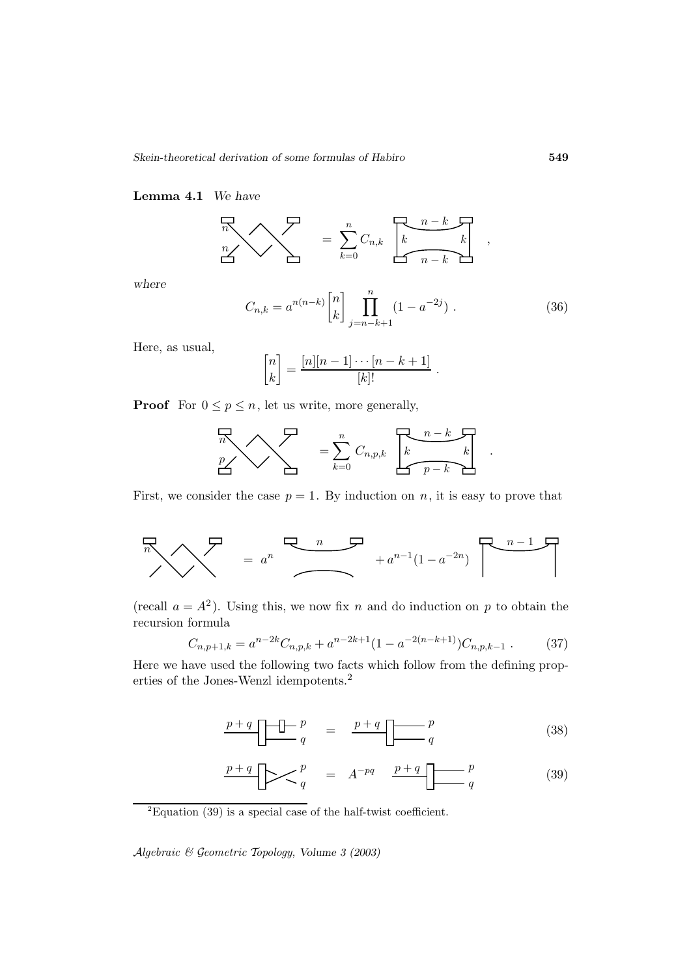### **Lemma 4.1** *We have*

$$
\sum_{n=0}^{n} \sum_{k=0}^{n} C_{n,k} \left[\frac{n-k}{k} \right],
$$

*where*

$$
C_{n,k} = a^{n(n-k)} \begin{bmatrix} n \\ k \end{bmatrix} \prod_{j=n-k+1}^{n} (1 - a^{-2j}). \tag{36}
$$

.

Here, as usual,

$$
\begin{bmatrix} n \\ k \end{bmatrix} = \frac{[n][n-1]\cdots[n-k+1]}{[k]!}.
$$

**Proof** For  $0 \leq p \leq n$ , let us write, more generally,

$$
\sum_{p} \sum_{k=0}^{n} C_{n,p,k} \sum_{k=0}^{n-k} c_{n,p,k}
$$

First, we consider the case  $p = 1$ . By induction on n, it is easy to prove that

$$
\sum_{n=0}^{n} \sum_{n=0}^{n} e^{n} \left( \sum_{n=0}^{n} \mathcal{F}_{n} \right) + a^{n-1} (1 - a^{-2n}) \left[ \sum_{n=0}^{n} \mathcal{F}_{n} \right]
$$

(recall  $a = A^2$ ). Using this, we now fix n and do induction on p to obtain the recursion formula

$$
C_{n,p+1,k} = a^{n-2k} C_{n,p,k} + a^{n-2k+1} (1 - a^{-2(n-k+1)}) C_{n,p,k-1} . \tag{37}
$$

Here we have used the following two facts which follow from the defining properties of the Jones-Wenzl idempotents.<sup>2</sup>

$$
\underbrace{p+q}_{q} \underbrace{\begin{array}{c} \uparrow \\ \downarrow \end{array}}_{q} = \underbrace{p+q}_{q} \underbrace{\begin{array}{c} p \\ \downarrow \end{array}}_{q} \tag{38}
$$

$$
\underbrace{p+q}_{q}\longrightarrow \underbrace{p}_{q} \qquad = \qquad A^{-pq} \qquad \underbrace{p+q}_{q} \qquad \qquad p \tag{39}
$$

 ${}^{2}$ Equation (39) is a special case of the half-twist coefficient.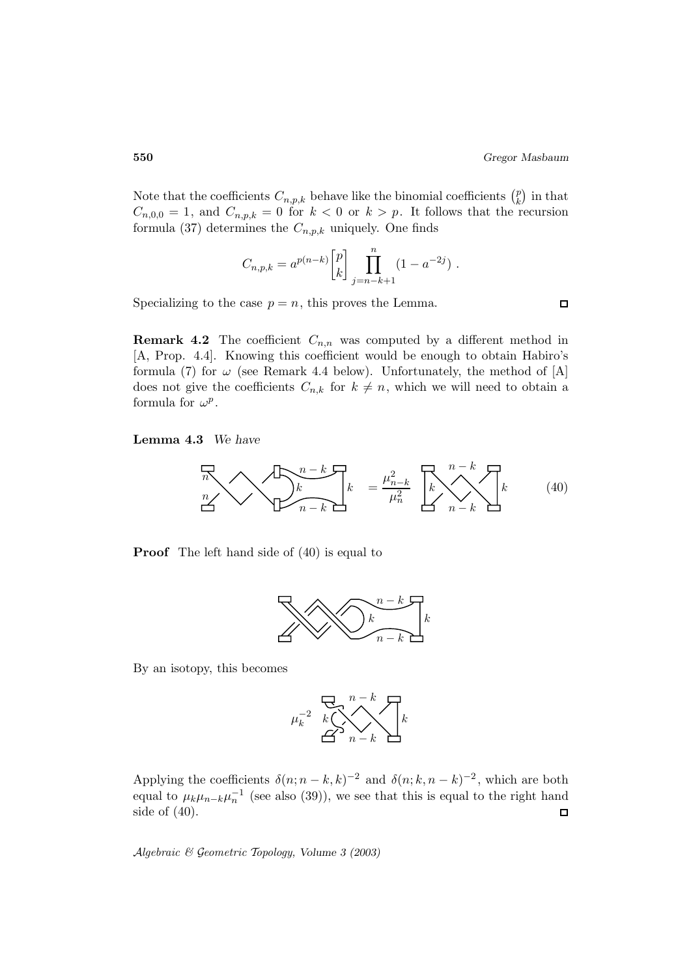Note that the coefficients  $C_{n,p,k}$  behave like the binomial coefficients  $\binom{p}{k}$  in that  $C_{n,0,0} = 1$ , and  $C_{n,p,k} = 0$  for  $k < 0$  or  $k > p$ . It follows that the recursion formula (37) determines the  $C_{n,p,k}$  uniquely. One finds

$$
C_{n,p,k} = a^{p(n-k)} {p \brack k} \prod_{j=n-k+1}^{n} (1 - a^{-2j}).
$$

Specializing to the case  $p = n$ , this proves the Lemma.

**Remark 4.2** The coefficient  $C_{n,n}$  was computed by a different method in [A, Prop. 4.4]. Knowing this coefficient would be enough to obtain Habiro's formula (7) for  $\omega$  (see Remark 4.4 below). Unfortunately, the method of [A] does not give the coefficients  $C_{n,k}$  for  $k \neq n$ , which we will need to obtain a formula for  $\omega^p$ .

#### **Lemma 4.3** *We have*



**Proof** The left hand side of  $(40)$  is equal to



By an isotopy, this becomes



Applying the coefficients  $\delta(n; n-k, k)^{-2}$  and  $\delta(n; k, n-k)^{-2}$ , which are both equal to  $\mu_k \mu_{n-k} \mu_n^{-1}$  (see also (39)), we see that this is equal to the right hand side of (40).  $\Box$ 

Algebraic & Geometric Topology*, Volume 3 (2003)*

 $\Box$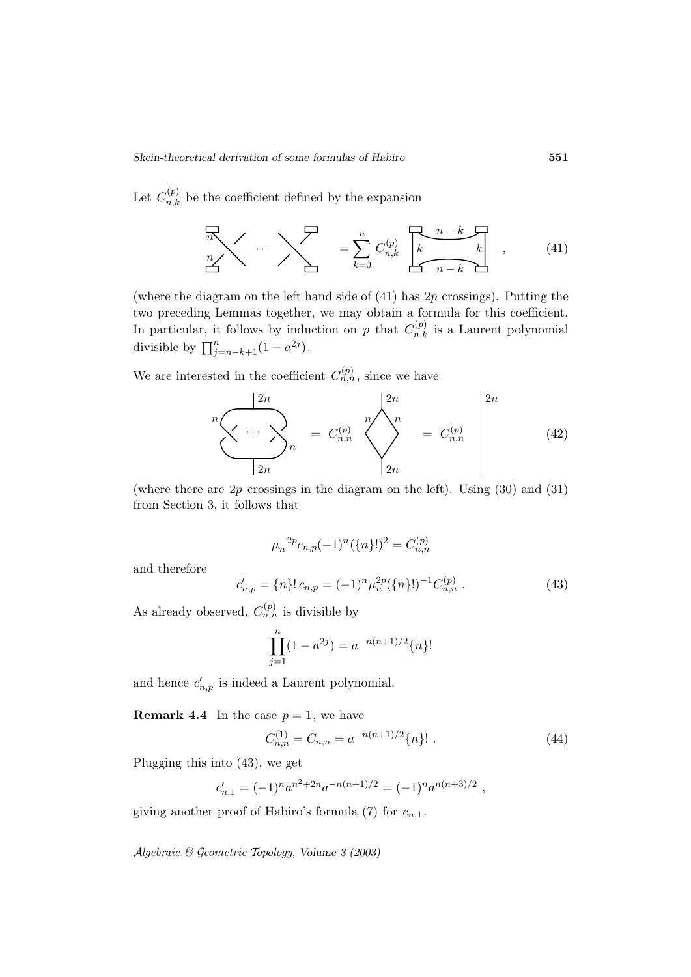Let  $C_{n,k}^{(p)}$  be the coefficient defined by the expansion

$$
\sum_{n=1}^{n} \cdots \sum_{k=0}^{n} C_{n,k}^{(p)} \left[ \underbrace{k \cdots k}_{n-k} \right], \qquad (41)
$$

(where the diagram on the left hand side of  $(41)$  has  $2p$  crossings). Putting the two preceding Lemmas together, we may obtain a formula for this coefficient. In particular, it follows by induction on p that  $C_{n,k}^{(p)}$  is a Laurent polynomial divisible by  $\prod_{j=n-k+1}^{n} (1 - a^{2j}).$ 

We are interested in the coefficient  $C_{n,n}^{(p)}$ , since we have

$$
{}^{n}\underbrace{\left\langle \cdots \right\rangle}_{2n}{}^{2n} = C_{n,n}^{(p)} \underbrace{\left\langle \begin{array}{c} 2n \\ n \\ n \end{array} \right\rangle}_{2n} = C_{n,n}^{(p)} \left\vert \begin{array}{c} 2n \\ n \\ n \end{array} \right\vert (42)
$$

(where there are  $2p$  crossings in the diagram on the left). Using  $(30)$  and  $(31)$ from Section 3, it follows that

$$
\mu_n^{-2p} c_{n,p}(-1)^n (\{n\}!)^2 = C_{n,n}^{(p)}
$$

and therefore

$$
c'_{n,p} = \{n\}! c_{n,p} = (-1)^n \mu_n^{2p} (\{n\}!)^{-1} C_{n,n}^{(p)} . \tag{43}
$$

As already observed,  $C_{n,n}^{(p)}$  is divisible by

$$
\prod_{j=1}^{n} (1 - a^{2j}) = a^{-n(n+1)/2} \{n\}!
$$

and hence  $c'_{n,p}$  is indeed a Laurent polynomial.

**Remark 4.4** In the case  $p = 1$ , we have

$$
C_{n,n}^{(1)} = C_{n,n} = a^{-n(n+1)/2} \{n\}! \tag{44}
$$

Plugging this into (43), we get

$$
c'_{n,1}=(-1)^n a^{n^2+2n} a^{-n(n+1)/2}=(-1)^n a^{n(n+3)/2},
$$

giving another proof of Habiro's formula (7) for  $c_{n,1}$ .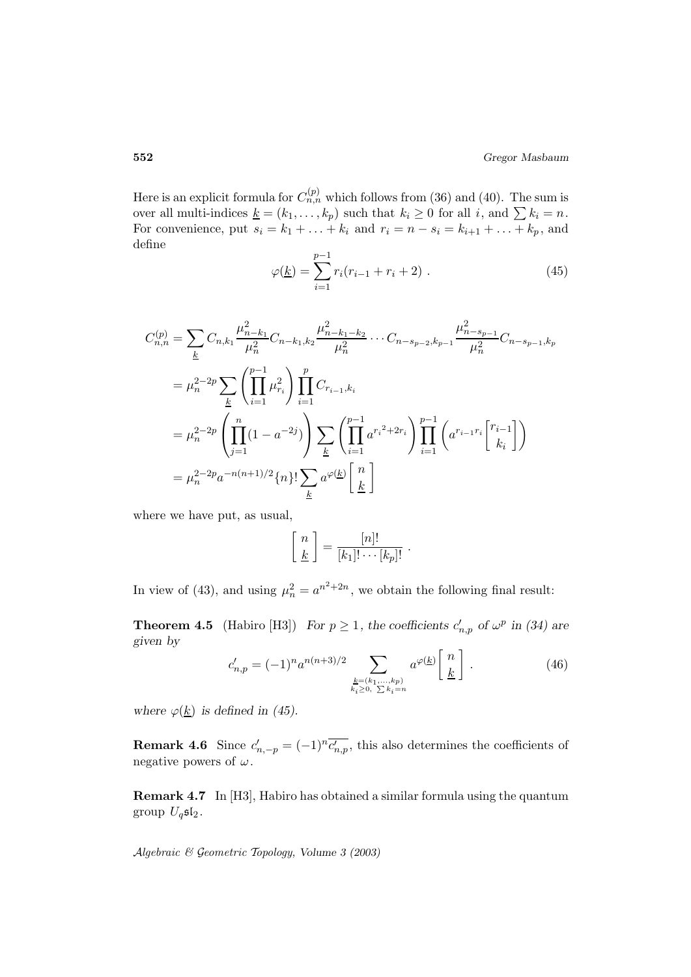Here is an explicit formula for  $C_{n,n}^{(p)}$  which follows from (36) and (40). The sum is over all multi-indices  $\underline{k} = (k_1, \ldots, k_p)$  such that  $k_i \geq 0$  for all i, and  $\sum k_i = n$ . For convenience, put  $s_i = k_1 + \ldots + k_i$  and  $r_i = n - s_i = k_{i+1} + \ldots + k_p$ , and define

$$
\varphi(\underline{k}) = \sum_{i=1}^{p-1} r_i (r_{i-1} + r_i + 2) \ . \tag{45}
$$

$$
C_{n,n}^{(p)} = \sum_{k} C_{n,k_1} \frac{\mu_{n-k_1}^2}{\mu_n^2} C_{n-k_1,k_2} \frac{\mu_{n-k_1-k_2}^2}{\mu_n^2} \cdots C_{n-s_{p-2},k_{p-1}} \frac{\mu_{n-s_{p-1}}^2}{\mu_n^2} C_{n-s_{p-1},k_p}
$$
  
\n
$$
= \mu_n^{2-2p} \sum_{k} \left( \prod_{i=1}^{p-1} \mu_{r_i}^2 \right) \prod_{i=1}^p C_{r_{i-1},k_i}
$$
  
\n
$$
= \mu_n^{2-2p} \left( \prod_{j=1}^n (1 - a^{-2j}) \right) \sum_{k} \left( \prod_{i=1}^{p-1} a^{r_i^2 + 2r_i} \right) \prod_{i=1}^{p-1} \left( a^{r_{i-1}r_i} \begin{bmatrix} r_{i-1} \\ k_i \end{bmatrix} \right)
$$
  
\n
$$
= \mu_n^{2-2p} a^{-n(n+1)/2} \{n\}! \sum_{k} a^{\varphi(k)} \begin{bmatrix} n \\ k \end{bmatrix}
$$

where we have put, as usual,

$$
\left[\begin{array}{c} n \\ \underline{k} \end{array}\right] = \frac{[n]!}{[k_1]!\cdots [k_p]!} .
$$

In view of (43), and using  $\mu_n^2 = a^{n^2 + 2n}$ , we obtain the following final result:

**Theorem 4.5** (Habiro [H3]) *For*  $p \ge 1$ *, the coefficients*  $c'_{n,p}$  *of*  $\omega^p$  *in (34)* are *given by*

$$
c'_{n,p} = (-1)^n a^{n(n+3)/2} \sum_{\substack{k=(k_1,\ldots,k_p) \\ k_i \ge 0, \ \sum k_i = n}} a^{\varphi(k)} \left[ \frac{n}{\underline{k}} \right]. \tag{46}
$$

*where*  $\varphi(\underline{k})$  *is defined in (45).* 

**Remark 4.6** Since  $c'_{n,-p} = (-1)^n \overline{c'_{n,p}}$ , this also determines the coefficients of negative powers of  $\omega$ .

**Remark 4.7** In [H3], Habiro has obtained a similar formula using the quantum group  $U_q$ sl<sub>2</sub>.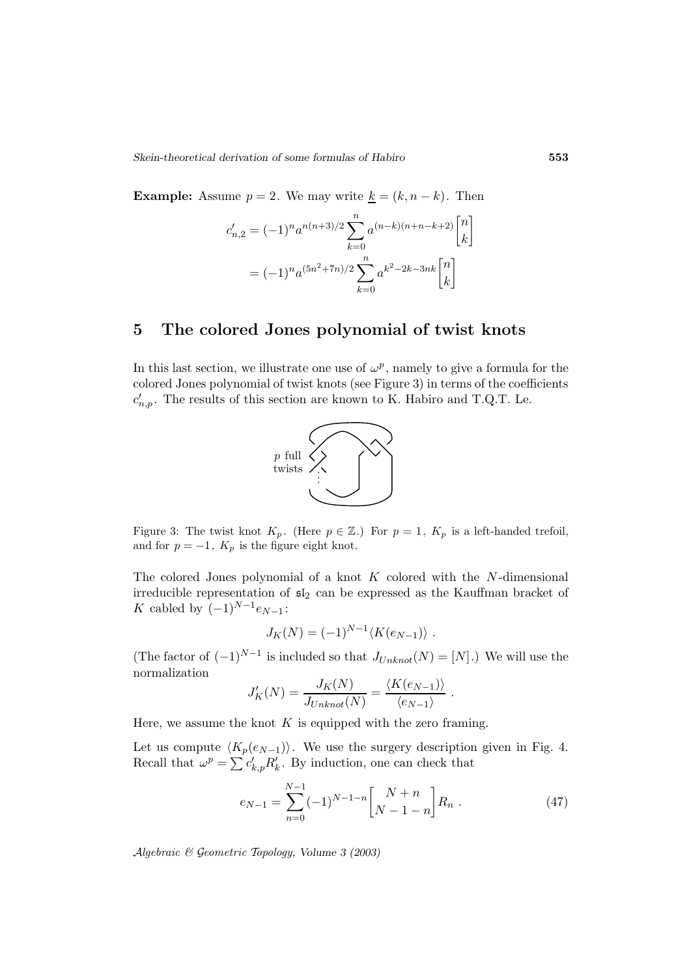**Example:** Assume  $p = 2$ . We may write  $\underline{k} = (k, n - k)$ . Then

$$
c'_{n,2} = (-1)^n a^{n(n+3)/2} \sum_{k=0}^n a^{(n-k)(n+n-k+2)} \begin{bmatrix} n \\ k \end{bmatrix}
$$

$$
= (-1)^n a^{(5n^2+7n)/2} \sum_{k=0}^n a^{k^2-2k-3nk} \begin{bmatrix} n \\ k \end{bmatrix}
$$

## **5 The colored Jones polynomial of twist knots**

In this last section, we illustrate one use of  $\omega^p$ , namely to give a formula for the colored Jones polynomial of twist knots (see Figure 3) in terms of the coefficients  $c'_{n,p}$ . The results of this section are known to K. Habiro and T.Q.T. Le.



Figure 3: The twist knot  $K_p$ . (Here  $p \in \mathbb{Z}$ .) For  $p = 1$ ,  $K_p$  is a left-handed trefoil, and for  $p = -1$ ,  $K_p$  is the figure eight knot.

The colored Jones polynomial of a knot  $K$  colored with the  $N$ -dimensional irreducible representation of  $\mathfrak{sl}_2$  can be expressed as the Kauffman bracket of K cabled by  $(-1)^{N-1}e_{N-1}$ :

$$
J_K(N) = (-1)^{N-1} \langle K(e_{N-1}) \rangle.
$$

(The factor of  $(-1)^{N-1}$  is included so that  $J_{Unknown}(N)=[N]$ .) We will use the normalization

$$
J'_{K}(N) = \frac{J_{K}(N)}{J_{Unknown}(N)} = \frac{\langle K(e_{N-1}) \rangle}{\langle e_{N-1} \rangle}.
$$

Here, we assume the knot  $K$  is equipped with the zero framing.

Let us compute  $\langle K_p(e_{N-1})\rangle$ . We use the surgery description given in Fig. 4. Recall that  $\omega^p = \sum c'_{k,p} R'_k$ . By induction, one can check that

$$
e_{N-1} = \sum_{n=0}^{N-1} (-1)^{N-1-n} \begin{bmatrix} N+n \\ N-1-n \end{bmatrix} R_n . \tag{47}
$$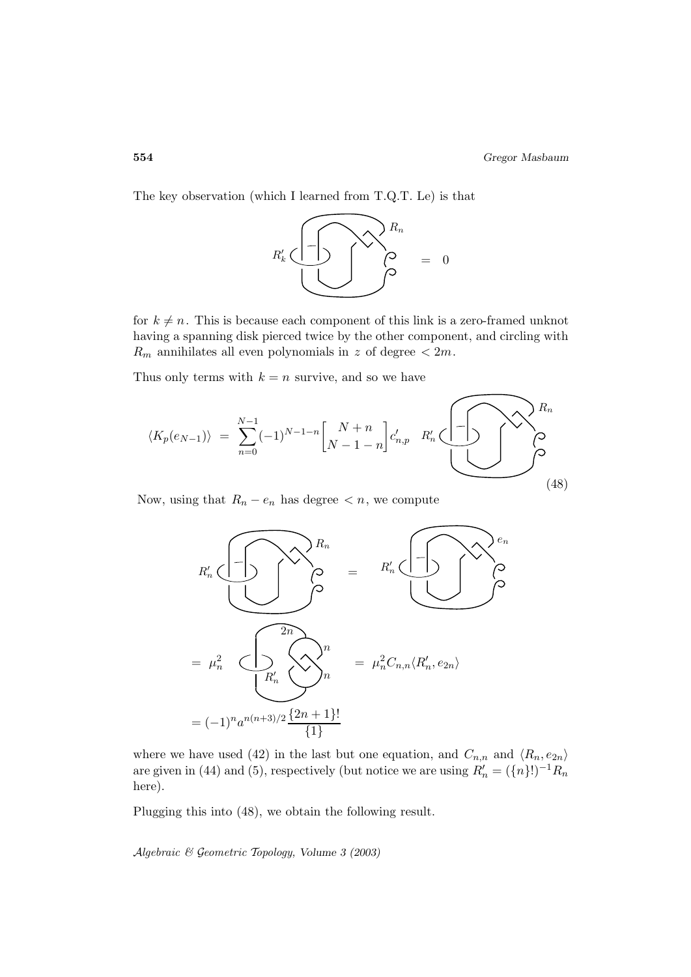The key observation (which I learned from T.Q.T. Le) is that



for  $k \neq n$ . This is because each component of this link is a zero-framed unknot having a spanning disk pierced twice by the other component, and circling with  $R_m$  annihilates all even polynomials in z of degree  $\lt 2m$ .

Thus only terms with  $k = n$  survive, and so we have

$$
\langle K_p(e_{N-1}) \rangle = \sum_{n=0}^{N-1} (-1)^{N-1-n} \begin{bmatrix} N+n \\ N-1-n \end{bmatrix} c'_{n,p} R'_n \underbrace{\begin{bmatrix} -1 \\ -1 \end{bmatrix} c'_{n,p}}_{(48)}
$$

Now, using that  $R_n - e_n$  has degree  $\lt n$ , we compute



where we have used (42) in the last but one equation, and  $C_{n,n}$  and  $\langle R_n, e_{2n} \rangle$ are given in (44) and (5), respectively (but notice we are using  $R'_n = (\lbrace n \rbrace!)^{-1}R_n$ here).

Plugging this into (48), we obtain the following result.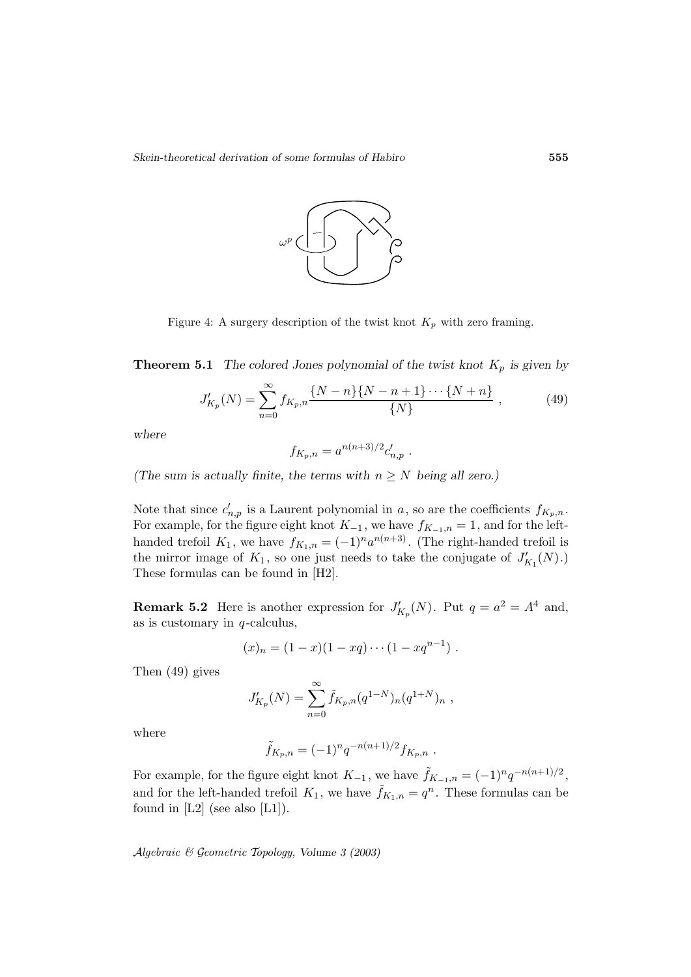

Figure 4: A surgery description of the twist knot  $K_p$  with zero framing.

**Theorem 5.1** *The colored Jones polynomial of the twist knot*  $K_p$  *is given by* 

$$
J'_{K_p}(N) = \sum_{n=0}^{\infty} f_{K_p,n} \frac{\{N-n\}\{N-n+1\}\cdots\{N+n\}}{\{N\}},
$$
 (49)

*where*

$$
f_{K_p,n} = a^{n(n+3)/2} c'_{n,p} .
$$

*(The sum is actually finite, the terms with*  $n \geq N$  *being all zero.)* 

Note that since  $c'_{n,p}$  is a Laurent polynomial in a, so are the coefficients  $f_{K_p,n}$ . For example, for the figure eight knot  $K_{-1}$ , we have  $f_{K_{-1},n} = 1$ , and for the lefthanded trefoil  $K_1$ , we have  $f_{K_1,n} = (-1)^n a^{n(n+3)}$ . (The right-handed trefoil is the mirror image of  $K_1$ , so one just needs to take the conjugate of  $J'_{K_1}(N)$ .) These formulas can be found in [H2].

**Remark 5.2** Here is another expression for  $J'_{K_p}(N)$ . Put  $q = a^2 = A^4$  and, as is customary in  $q$ -calculus,

$$
(x)_n = (1-x)(1-xq)\cdots(1-xq^{n-1}).
$$

Then (49) gives

$$
J'_{K_p}(N) = \sum_{n=0}^{\infty} \tilde{f}_{K_p,n}(q^{1-N})_n (q^{1+N})_n ,
$$

where

$$
\tilde{f}_{K_p,n} = (-1)^n q^{-n(n+1)/2} f_{K_p,n} .
$$

For example, for the figure eight knot  $K_{-1}$ , we have  $\tilde{f}_{K_{-1},n} = (-1)^n q^{-n(n+1)/2}$ , and for the left-handed trefoil  $K_1$ , we have  $\tilde{f}_{K_1,n} = q^n$ . These formulas can be found in  $[L2]$  (see also  $[L1]$ ).